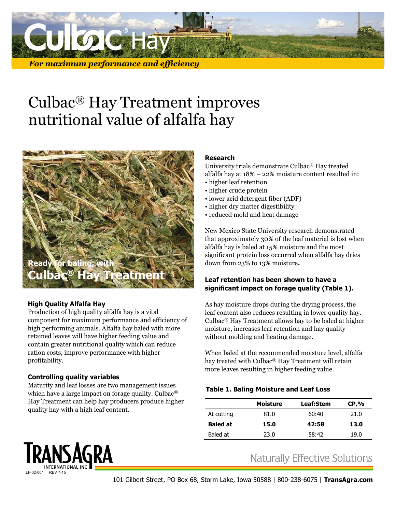

### *For maximum performance and efficiency*

# Culbac® Hay Treatment improves nutritional value of alfalfa hay



## **High Quality Alfalfa Hay**

Production of high quality alfalfa hay is a vital component for maximum performance and efficiency of high performing animals. Alfalfa hay baled with more retained leaves will have higher feeding value and contain greater nutritional quality which can reduce ration costs, improve performance with higher profitability.

### **Controlling quality variables**

Maturity and leaf losses are two management issues which have a large impact on forage quality. Culbac® Hay Treatment can help hay producers produce higher quality hay with a high leaf content.

### **Research**

University trials demonstrate Culbac® Hay treated alfalfa hay at 18% – 22% moisture content resulted in:

- higher leaf retention
- higher crude protein
- lower acid detergent fiber (ADF)
- higher dry matter digestibility
- reduced mold and heat damage

New Mexico State University research demonstrated that approximately 30% of the leaf material is lost when alfalfa hay is baled at 15% moisture and the most significant protein loss occurred when alfalfa hay dries down from 23% to 13% moisture**.**

### **Leaf retention has been shown to have a significant impact on forage quality (Table 1).**

As hay moisture drops during the drying process, the leaf content also reduces resulting in lower quality hay. Culbac® Hay Treatment allows hay to be baled at higher moisture, increases leaf retention and hay quality without molding and heating damage.

When baled at the recommended moisture level, alfalfa hay treated with Culbac® Hay Treatment will retain more leaves resulting in higher feeding value.

### **Table 1. Baling Moisture and Leaf Loss**

|                 | <b>Moisture</b> | <b>Leaf:Stem</b> | $CP, \%$ |
|-----------------|-----------------|------------------|----------|
| At cutting      | 81.0            | 60:40            | 21.0     |
| <b>Baled at</b> | 15.0            | 42:58            | 13.0     |
| Baled at        | 23.0            | 58:42            | 19.0     |

# TRANSAGRA LF-02-004 REV 7-15

# **Naturally Effective Solutions**